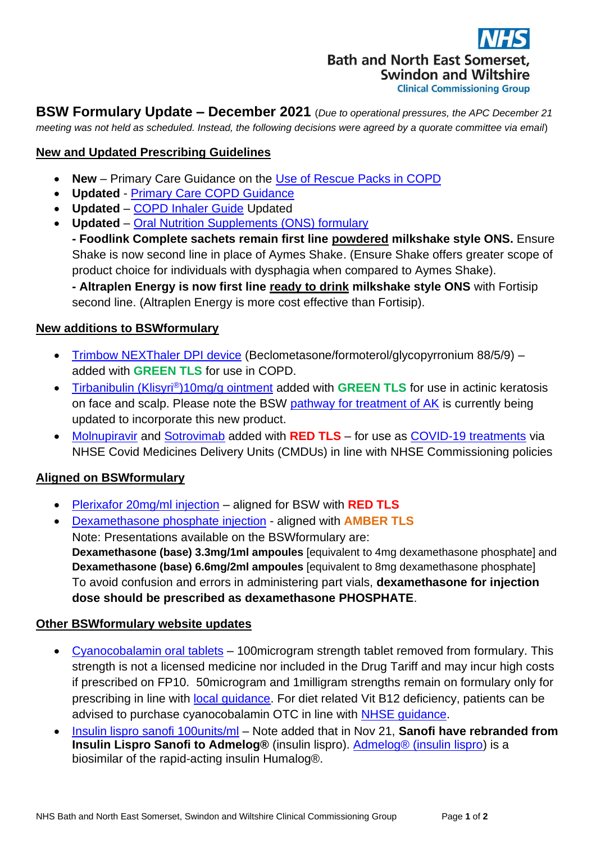

**BSW Formulary Update – December 2021** (*Due to operational pressures, the APC December 21 meeting was not held as scheduled. Instead, the following decisions were agreed by a quorate committee via email*)

### **New and Updated Prescribing Guidelines**

- **New** Primary Care Guidance on the [Use of Rescue Packs in COPD](https://prescribing.bswccg.nhs.uk/?wpdmdl=9108)
- **Updated**  [Primary Care COPD Guidance](https://prescribing.bswccg.nhs.uk/?wpdmdl=6331)
- **Updated** [COPD Inhaler Guide](https://prescribing.bswccg.nhs.uk/?wpdmdl=6334) Updated
- **Updated** [Oral Nutrition Supplements \(ONS\) formulary](https://prescribing.bswccg.nhs.uk/?wpdmdl=5810)

**- Foodlink Complete sachets remain first line powdered milkshake style ONS.** Ensure Shake is now second line in place of Aymes Shake. (Ensure Shake offers greater scope of product choice for individuals with dysphagia when compared to Aymes Shake).

**- Altraplen Energy is now first line ready to drink milkshake style ONS** with Fortisip second line. (Altraplen Energy is more cost effective than Fortisip).

### **New additions to BSWformulary**

- [Trimbow NEXThaler DPI device](http://bswformulary.nhs.uk/chaptersSubDetails.asp?FormularySectionID=3&SubSectionRef=03.02.03&SubSectionID=B100&drugmatch=5097#5097) (Beclometasone/formoterol/glycopyrronium 88/5/9) added with **GREEN TLS** for use in COPD.
- [Tirbanibulin \(Klisyri](http://bswformulary.nhs.uk/chaptersSubDetails.asp?FormularySectionID=13&SubSectionRef=13.08.01&SubSectionID=B100#5769)®)10mg/g ointment added with **GREEN TLS** for use in actinic keratosis on face and scalp. Please note the BSW [pathway for treatment of AK](https://prescribing.wiltshireccg.nhs.uk/?wpdmdl=6835) is currently being updated to incorporate this new product.
- [Molnupiravir](http://bswformulary.nhs.uk/chaptersSubDetails.asp?FormularySectionID=5&SubSectionRef=05.03&SubSectionID=A100&drugmatch=5772#5772) and [Sotrovimab](http://bswformulary.nhs.uk/chaptersSubDetails.asp?FormularySectionID=5&SubSectionRef=05.03&SubSectionID=A100&drugmatch=5771#5771) added with **RED TLS** for use as [COVID-19 treatments](https://www.sps.nhs.uk/home/guidance/covid-19-treatments/) via NHSE Covid Medicines Delivery Units (CMDUs) in line with NHSE Commissioning policies

# **Aligned on BSWformulary**

- [Plerixafor 20mg/ml injection](http://bswformulary.nhs.uk/chaptersSubDetails.asp?FormularySectionID=9&SubSectionRef=09.01.07&SubSectionID=A100&drugmatch=3247#3247) aligned for BSW with **RED TLS**
- [Dexamethasone](http://bswformulary.nhs.uk/chaptersSubDetails.asp?FormularySectionID=21&SubSectionRef=21.02.02&SubSectionID=A100&drugmatch=5499#5499) phosphate injection aligned with **AMBER TLS** Note: Presentations available on the BSWformulary are: **Dexamethasone (base) 3.3mg/1ml ampoules** [equivalent to 4mg dexamethasone phosphate] and **Dexamethasone (base) 6.6mg/2ml ampoules** [equivalent to 8mg dexamethasone phosphate] To avoid confusion and errors in administering part vials, **dexamethasone for injection dose should be prescribed as dexamethasone PHOSPHATE**.

### **Other BSWformulary website updates**

- [Cyanocobalamin oral tablets](http://bswformulary.nhs.uk/chaptersSubDetails.asp?FormularySectionID=9&SubSectionRef=09.01.02&SubSectionID=A100&drugmatch=2239#2239) 100microgram strength tablet removed from formulary. This strength is not a licensed medicine nor included in the Drug Tariff and may incur high costs if prescribed on FP10. 50microgram and 1milligram strengths remain on formulary only for prescribing in line with [local guidance.](http://bswformulary.nhs.uk/chaptersSubDetails.asp?FormularySectionID=9&SubSectionRef=09.01.02&SubSectionID=A100&drugmatch=2239#2239) For diet related Vit B12 deficiency, patients can be advised to purchase cyanocobalamin OTC in line with [NHSE guidance.](https://www.england.nhs.uk/wp-content/uploads/2018/03/otc-guidance-for-ccgs.pdf)
- [Insulin lispro](http://bswformulary.nhs.uk/chaptersSubDetails.asp?FormularyID=5152&FormularySectionID=6&SubSectionRef=06.01.01.01&SubSectionID=A100#5152) sanofi 100units/ml Note added that in Nov 21, **Sanofi have rebranded from Insulin Lispro Sanofi to Admelog®** (insulin lispro). [Admelog® \(insulin lispro\)](https://www.medicines.org.uk/emc/search?q=admelog) is a biosimilar of the rapid-acting insulin Humalog®.